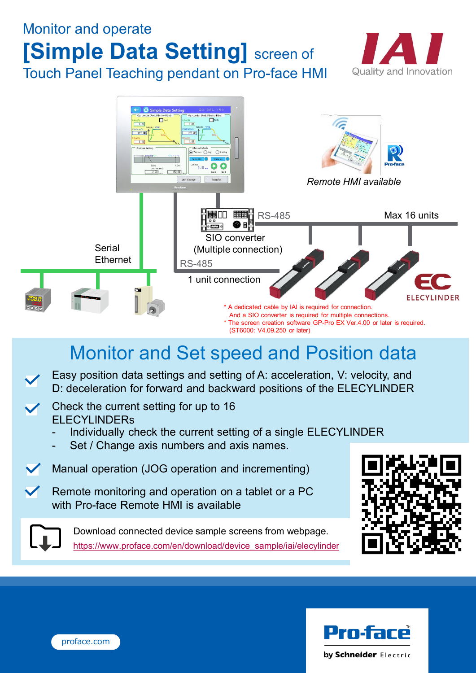# Monitor and operate **[Simple Data Setting]** screen of Touch Panel Teaching pendant on Pro-face HMI





# Monitor and Set speed and Position data

- Easy position data settings and setting of A: acceleration, V: velocity, and D: deceleration for forward and backward positions of the ELECYLINDER
- Check the current setting for up to 16 **ELECYLINDERs** 
	- Individually check the current setting of a single ELECYLINDER
	- Set / Change axis numbers and axis names.
- Manual operation (JOG operation and incrementing)
- Remote monitoring and operation on a tablet or a PC with Pro-face Remote HMI is available

Download connected device sample screens from webpage. [https://www.proface.com/en/download/device\\_sample/iai/elecylinder](https://www.proface.com/en/download/device_sample/iai/elecylinder)